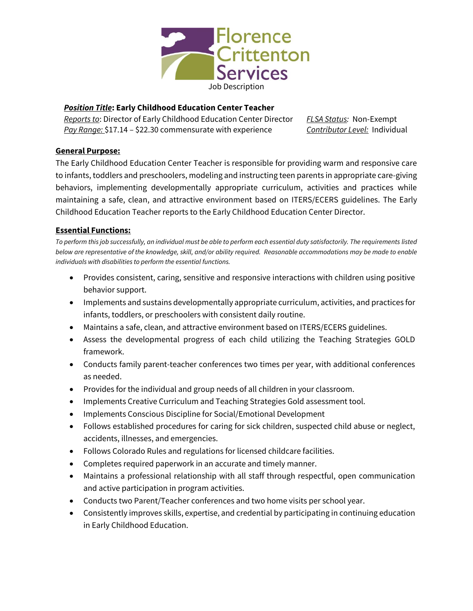

# *Position Title***: Early Childhood Education Center Teacher**

*Reports to*: Director of Early Childhood Education Center Director *Pay Range:* \$17.14 – \$22.30 commensurate with experience

*FLSA Status:* Non-Exempt *Contributor Level:* Individual

# **General Purpose:**

The Early Childhood Education Center Teacher is responsible for providing warm and responsive care to infants, toddlers and preschoolers, modeling and instructing teen parents in appropriate care-giving behaviors, implementing developmentally appropriate curriculum, activities and practices while maintaining a safe, clean, and attractive environment based on ITERS/ECERS guidelines. The Early Childhood Education Teacher reports to the Early Childhood Education Center Director.

# **Essential Functions:**

*To perform this job successfully, an individual must be able to perform each essential duty satisfactorily. The requirements listed below are representative of the knowledge, skill, and/or ability required. Reasonable accommodations may be made to enable individuals with disabilities to perform the essential functions.*

- Provides consistent, caring, sensitive and responsive interactions with children using positive behavior support.
- Implements and sustains developmentally appropriate curriculum, activities, and practices for infants, toddlers, or preschoolers with consistent daily routine.
- Maintains a safe, clean, and attractive environment based on ITERS/ECERS guidelines.
- Assess the developmental progress of each child utilizing the Teaching Strategies GOLD framework.
- Conducts family parent-teacher conferences two times per year, with additional conferences as needed.
- Provides for the individual and group needs of all children in your classroom.
- Implements Creative Curriculum and Teaching Strategies Gold assessment tool.
- Implements Conscious Discipline for Social/Emotional Development
- Follows established procedures for caring for sick children, suspected child abuse or neglect, accidents, illnesses, and emergencies.
- Follows Colorado Rules and regulations for licensed childcare facilities.
- Completes required paperwork in an accurate and timely manner.
- Maintains a professional relationship with all staff through respectful, open communication and active participation in program activities.
- Conducts two Parent/Teacher conferences and two home visits per school year.
- Consistently improves skills, expertise, and credential by participating in continuing education in Early Childhood Education.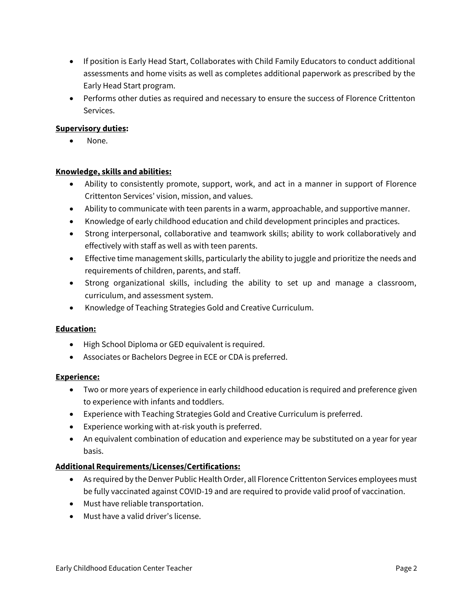- If position is Early Head Start, Collaborates with Child Family Educators to conduct additional assessments and home visits as well as completes additional paperwork as prescribed by the Early Head Start program.
- Performs other duties as required and necessary to ensure the success of Florence Crittenton Services.

### **Supervisory duties:**

None.

### **Knowledge, skills and abilities:**

- Ability to consistently promote, support, work, and act in a manner in support of Florence Crittenton Services' vision, mission, and values.
- Ability to communicate with teen parents in a warm, approachable, and supportive manner.
- Knowledge of early childhood education and child development principles and practices.
- Strong interpersonal, collaborative and teamwork skills; ability to work collaboratively and effectively with staff as well as with teen parents.
- Effective time management skills, particularly the ability to juggle and prioritize the needs and requirements of children, parents, and staff.
- Strong organizational skills, including the ability to set up and manage a classroom, curriculum, and assessment system.
- Knowledge of Teaching Strategies Gold and Creative Curriculum.

### **Education:**

- High School Diploma or GED equivalent is required.
- Associates or Bachelors Degree in ECE or CDA is preferred.

# **Experience:**

- Two or more years of experience in early childhood education is required and preference given to experience with infants and toddlers.
- Experience with Teaching Strategies Gold and Creative Curriculum is preferred.
- Experience working with at-risk youth is preferred.
- An equivalent combination of education and experience may be substituted on a year for year basis.

# **Additional Requirements/Licenses/Certifications:**

- As required by the Denver Public Health Order, all Florence Crittenton Services employees must be fully vaccinated against COVID-19 and are required to provide valid proof of vaccination.
- Must have reliable transportation.
- Must have a valid driver's license.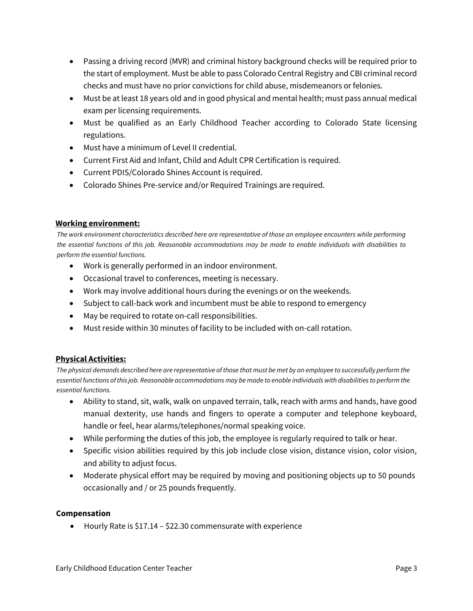- Passing a driving record (MVR) and criminal history background checks will be required prior to the start of employment. Must be able to pass Colorado Central Registry and CBI criminal record checks and must have no prior convictions for child abuse, misdemeanors or felonies.
- Must be at least 18 years old and in good physical and mental health; must pass annual medical exam per licensing requirements.
- Must be qualified as an Early Childhood Teacher according to Colorado State licensing regulations.
- Must have a minimum of Level II credential.
- Current First Aid and Infant, Child and Adult CPR Certification is required.
- Current PDIS/Colorado Shines Account is required.
- Colorado Shines Pre-service and/or Required Trainings are required.

#### **Working environment:**

*The work environment characteristics described here are representative of those an employee encounters while performing the essential functions of this job. Reasonable accommodations may be made to enable individuals with disabilities to perform the essential functions.*

- Work is generally performed in an indoor environment.
- Occasional travel to conferences, meeting is necessary.
- Work may involve additional hours during the evenings or on the weekends.
- Subject to call-back work and incumbent must be able to respond to emergency
- May be required to rotate on-call responsibilities.
- Must reside within 30 minutes of facility to be included with on-call rotation.

### **Physical Activities:**

*The physical demands described here are representative of those that must be met by an employee to successfully perform the essential functions of this job. Reasonable accommodations may be made to enable individuals with disabilities to perform the essential functions.*

- Ability to stand, sit, walk, walk on unpaved terrain, talk, reach with arms and hands, have good manual dexterity, use hands and fingers to operate a computer and telephone keyboard, handle or feel, hear alarms/telephones/normal speaking voice.
- While performing the duties of this job, the employee is regularly required to talk or hear.
- Specific vision abilities required by this job include close vision, distance vision, color vision, and ability to adjust focus.
- Moderate physical effort may be required by moving and positioning objects up to 50 pounds occasionally and / or 25 pounds frequently.

### **Compensation**

• Hourly Rate is \$17.14 – \$22.30 commensurate with experience